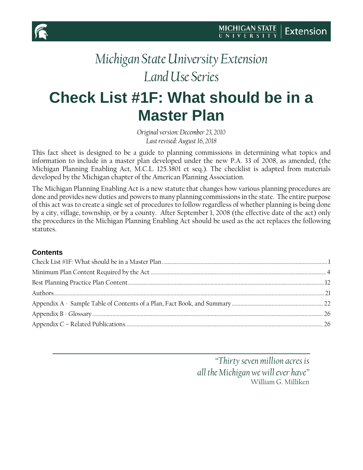

# <span id="page-0-0"></span>**Check List #1F: What should be in a Master Plan**

*Original version: December 23, 2010 Last revised: August 16, 2018*

This fact sheet is designed to be a guide to planning commissions in determining what topics and information to include in a master plan developed under the new P.A. 33 of 2008, as amended, (the Michigan Planning Enabling Act, M.C.L. 125.3801 et seq.). The checklist is adapted from materials developed by the Michigan chapter of the American Planning Association.

The Michigan Planning Enabling Act is a new statute that changes how various planning procedures are done and provides new duties and powers to many planning commissions in the state. The entire purpose of this act was to create a single set of procedures to follow regardless of whether planning is being done by a city, village, township, or by a county. After September 1, 2008 (the effective date of the act) only the procedures in the Michigan Planning Enabling Act should be used as the act replaces the following statutes.

#### **Contents**

*"Thirty seven million acres is all the Michigan we will ever have"* William G. Milliken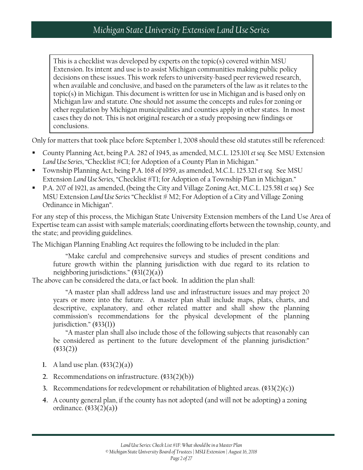This is a checklist was developed by experts on the topic(s) covered within MSU Extension. Its intent and use is to assist Michigan communities making public policy decisions on these issues. This work refers to university-based peer reviewed research, when available and conclusive, and based on the parameters of the law as it relates to the topic(s) in Michigan. This document is written for use in Michigan and is based only on Michigan law and statute. One should not assume the concepts and rules for zoning or other regulation by Michigan municipalities and counties apply in other states. In most cases they do not. This is not original research or a study proposing new findings or conclusions.

Only for matters that took place before September 1, 2008 should these old statutes still be referenced:

- County Planning Act, being P.A. 282 of 1945, as amended, M.C.L. 125.101 *et seq*. See MSU Extension *Land Use Series*, "Checklist #C1; for Adoption of a County Plan in Michigan."
- Township Planning Act, being P.A. 168 of 1959, as amended, M.C.L. 125.321 *et seq*. See MSU Extension *Land Use Series*, "Checklist #T1; for Adoption of a Township Plan in Michigan."
- P.A. 207 of 1921, as amended, (being the City and Village Zoning Act, M.C.L. 125.581 *et seq.*) See MSU Extension *Land Use Series* "Checklist # M2; For Adoption of a City and Village Zoning Ordinance in Michigan".

For any step of this process, the Michigan State University Extension members of the Land Use Area of Expertise team can assist with sample materials; coordinating efforts between the township, county, and the state; and providing guidelines.

The Michigan Planning Enabling Act requires the following to be included in the plan:

"Make careful and comprehensive surveys and studies of present conditions and future growth within the planning jurisdiction with due regard to its relation to neighboring jurisdictions." (§31(2)(a))

The above can be considered the data, or fact book. In addition the plan shall:

"A master plan shall address land use and infrastructure issues and may project 20 years or more into the future. A master plan shall include maps, plats, charts, and descriptive, explanatory, and other related matter and shall show the planning commission's recommendations for the physical development of the planning jurisdiction." (§33(1))

"A master plan shall also include those of the following subjects that reasonably can be considered as pertinent to the future development of the planning jurisdiction:"  $($ \$33 $(2)$ )

- **1.** A land use plan. (§33(2)(a))
- **2.** Recommendations on infrastructure. (§33(2)(b))
- **3.** Recommendations for redevelopment or rehabilitation of blighted areas. (§33(2)(c))
- **4.** A county general plan, if the county has not adopted (and will not be adopting) a zoning ordinance. (§33(2)(a))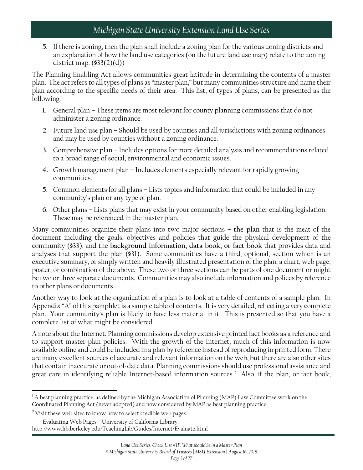**5.** If there is zoning, then the plan shall include a zoning plan for the various zoning districts and an explanation of how the land use categories (on the future land use map) relate to the zoning district map.  $(\$33(2)(d))$ 

The Planning Enabling Act allows communities great latitude in determining the contents of a master plan. The act refers to all types of plans as "master plan," but many communities structure and name their plan according to the specific needs of their area. This list, of types of plans, can be presented as the following:[1](#page-2-0)

- **1.** General plan These items are most relevant for county planning commissions that do not administer a zoning ordinance.
- **2.** Future land use plan Should be used by counties and all jurisdictions with zoning ordinances and may be used by counties without a zoning ordinance.
- **3.** Comprehensive plan Includes options for more detailed analysis and recommendations related to a broad range of social, environmental and economic issues.
- **4.** Growth management plan Includes elements especially relevant for rapidly growing communities.
- **5.** Common elements for all plans Lists topics and information that could be included in any community's plan or any type of plan.
- **6.** Other plans Lists plans that may exist in your community based on other enabling legislation. These may be referenced in the master plan.

Many communities organize their plans into two major sections – **the plan** that is the meat of the document including the goals, objectives and policies that guide the physical development of the community (§33); and the **background information, data book, or fact book** that provides data and analyses that support the plan (§31). Some communities have a third, optional, section which is an executive summary, or simply written and heavily illustrated presentation of the plan, a chart, web page, poster, or combination of the above. These two or three sections can be parts of one document or might be two or three separate documents. Communities may also include information and polices by reference to other plans or documents.

Another way to look at the organization of a plan is to look at a table of contents of a sample plan. In Appendix "A" of this pamphlet is a sample table of contents. It is very detailed, reflecting a very complete plan. Your community's plan is likely to have less material in it. This is presented so that you have a complete list of what might be considered.

A note about the Internet: Planning commissions develop extensive printed fact books as a reference and to support master plan policies. With the growth of the Internet, much of this information is now available online and could be included in a plan by reference instead of reproducing in printed form. There are many excellent sources of accurate and relevant information on the web, but there are also other sites that contain inaccurate or out-of-date data. Planning commissions should use professional assistance and great care in identifying reliable Internet-based information sources.[2](#page-2-1) Also, if the plan, or fact book,

*© Michigan State University Board of Trustees | MSU Extension | August 16, 2018*

<span id="page-2-0"></span> $\overline{\phantom{a}}$  $1$ A best planning practice, as defined by the Michigan Association of Planning (MAP) Law Committee work on the Coordinated Planning Act (never adopted) and now considered by MAP as best planning practice.

<span id="page-2-1"></span><sup>&</sup>lt;sup>2</sup> Visit these web sites to know how to select credible web pages:

Evaluating Web Pages --University of California Library: http://www.lib.berkeley.edu/TeachingLib/Guides/Internet/Evaluate.html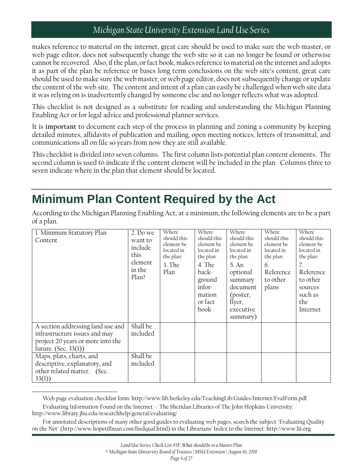makes reference to material on the internet, great care should be used to make sure the web master, or web page editor, does not subsequently change the web site so it can no longer be found or otherwise cannot be recovered. Also, if the plan, or fact book, makes reference to material on the internet and adopts it as part of the plan be reference or bases long term conclusions on the web site's content, great care should be used to make sure the web master, or web page editor, does not subsequently change or update the content of the web site. The content and intent of a plan can easily be challenged when web site data it was relying on is inadvertently changed by someone else and no longer reflects what was adopted.

This checklist is not designed as a substitute for reading and understanding the Michigan Planning Enabling Act or for legal advice and professional planner services.

It is **important** to document each step of the process in planning and zoning a community by keeping detailed minutes, affidavits of publication and mailing, open meeting notices, letters of transmittal, and communications all on file so years from now they are still available.

This checklist is divided into seven columns. The first column lists potential plan content elements. The second column is used to indicate if the content element will be included in the plan. Columns three to seven indicate where in the plan that element should be located.

## <span id="page-3-0"></span>**Minimum Plan Content Required by the Act**

According to the Michigan Planning Enabling Act, at a minimum, the following elements are to be a part of a plan.

| 1. Minimum Statutory Plan<br>Content                                                                                            | 2. Do we<br>want to<br>include<br>this<br>element<br>in the<br>Plan? | Where<br>should this<br>element be<br>located in<br>the plan:<br>$3.$ The<br>Plan | Where<br>should this<br>element be<br>located in<br>the plan:<br>4. The<br>back-<br>ground<br>infor-<br>mation<br>or fact<br>book | Where<br>should this<br>element be<br>located in<br>the plan:<br>5. An<br>optional<br>summary<br>document<br>(poster,<br>flyer,<br>executive<br>summary) | Where<br>should this<br>element be<br>located in<br>the plan:<br>6.<br>Reference<br>to other<br>plans | Where<br>should this<br>element be<br>located in<br>the plan:<br>7.<br>Reference<br>to other<br>sources<br>such as<br>the<br>Internet |
|---------------------------------------------------------------------------------------------------------------------------------|----------------------------------------------------------------------|-----------------------------------------------------------------------------------|-----------------------------------------------------------------------------------------------------------------------------------|----------------------------------------------------------------------------------------------------------------------------------------------------------|-------------------------------------------------------------------------------------------------------|---------------------------------------------------------------------------------------------------------------------------------------|
| A section addressing land use and<br>infrastructure issues and may<br>project 20 years or more into the<br>future. (Sec. 33(1)) | Shall be<br>included                                                 |                                                                                   |                                                                                                                                   |                                                                                                                                                          |                                                                                                       |                                                                                                                                       |
| Maps, plats, charts, and<br>descriptive, explanatory, and<br>other related matter. (Sec.<br>33(1)                               | Shall be<br>included                                                 |                                                                                   |                                                                                                                                   |                                                                                                                                                          |                                                                                                       |                                                                                                                                       |

Web page evaluation checklist form: http://www.lib.berkeley.edu/TeachingLib/Guides/Internet/EvalForm.pdf

Evaluating Information Found on the Internet  $\sim$  The Sheridan Libraries of The John Hopkins University: http://www.library.jhu.edu/researchhelp/general/evaluating/

 $\overline{\phantom{a}}$ 

For annotated descriptions of many other good guides to evaluating web pages, search the subject "Evaluating Quality on the Net" (http://www.hopetillman.com/findqual.html) in the Librarians' Index to the Internet: http://www.lii.org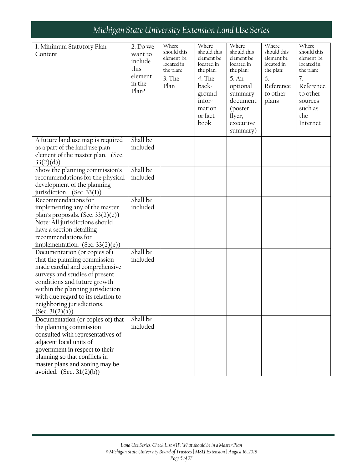| 1. Minimum Statutory Plan<br>Content                                                                                                                                                                                                                                                           | 2. Do we<br>want to<br>include<br>this<br>element<br>in the<br>Plan? | Where<br>should this<br>element be<br>located in<br>the plan:<br>3. The<br>Plan | Where<br>should this<br>element be<br>located in<br>the plan:<br>4. The<br>back-<br>ground<br>infor- | Where<br>should this<br>element be<br>located in<br>the plan:<br>5. An<br>optional<br>summary<br>document | Where<br>should this<br>element be<br>located in<br>the plan:<br>6.<br>Reference<br>to other<br>plans | Where<br>should this<br>element be<br>located in<br>the plan:<br>7.<br>Reference<br>to other<br>sources |
|------------------------------------------------------------------------------------------------------------------------------------------------------------------------------------------------------------------------------------------------------------------------------------------------|----------------------------------------------------------------------|---------------------------------------------------------------------------------|------------------------------------------------------------------------------------------------------|-----------------------------------------------------------------------------------------------------------|-------------------------------------------------------------------------------------------------------|---------------------------------------------------------------------------------------------------------|
|                                                                                                                                                                                                                                                                                                |                                                                      |                                                                                 | mation<br>or fact<br>book                                                                            | (poster,<br>flyer,<br>executive<br>summary)                                                               |                                                                                                       | such as<br>the<br>Internet                                                                              |
| A future land use map is required<br>as a part of the land use plan<br>element of the master plan. (Sec.<br>33(2)(d))                                                                                                                                                                          | Shall be<br>included                                                 |                                                                                 |                                                                                                      |                                                                                                           |                                                                                                       |                                                                                                         |
| Show the planning commission's<br>recommendations for the physical<br>development of the planning<br>jurisdiction. (Sec. 33(1))                                                                                                                                                                | Shall be<br>included                                                 |                                                                                 |                                                                                                      |                                                                                                           |                                                                                                       |                                                                                                         |
| Recommendations for<br>implementing any of the master<br>plan's proposals. (Sec. $33(2)(e)$ )<br>Note: All jurisdictions should<br>have a section detailing<br>recommendations for<br>implementation. (Sec. $33(2)(e)$ )                                                                       | Shall be<br>included                                                 |                                                                                 |                                                                                                      |                                                                                                           |                                                                                                       |                                                                                                         |
| Documentation (or copies of)<br>that the planning commission<br>made careful and comprehensive<br>surveys and studies of present<br>conditions and future growth<br>within the planning jurisdiction<br>with due regard to its relation to<br>neighboring jurisdictions.<br>(Sec. $3l(2)(a)$ ) | Shall be<br>included                                                 |                                                                                 |                                                                                                      |                                                                                                           |                                                                                                       |                                                                                                         |
| Documentation (or copies of) that<br>the planning commission<br>consulted with representatives of<br>adjacent local units of<br>government in respect to their<br>planning so that conflicts in<br>master plans and zoning may be<br>avoided. $(Sec. 31(2)(b))$                                | Shall be<br>included                                                 |                                                                                 |                                                                                                      |                                                                                                           |                                                                                                       |                                                                                                         |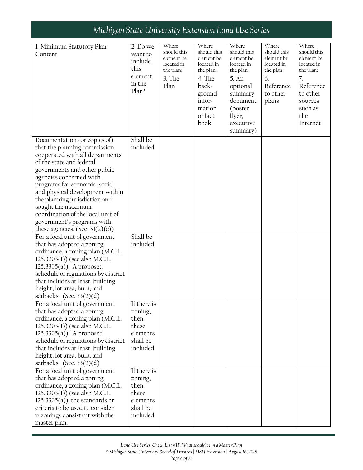| 1. Minimum Statutory Plan<br>Content                                                                                                                                                                                                                                                                                                                                                                                        | 2. Do we<br>want to<br>include<br>this<br>element<br>in the<br>Plan?        | Where<br>should this<br>element be<br>located in<br>the plan:<br>3. The<br>Plan | Where<br>should this<br>element be<br>located in<br>the plan:<br>4. The<br>back-<br>ground<br>infor-<br>mation<br>or fact<br>book | Where<br>should this<br>element be<br>located in<br>the plan:<br>5. An<br>optional<br>summary<br>document<br>(poster,<br>flyer,<br>executive | Where<br>should this<br>element be<br>located in<br>the plan:<br>6.<br>Reference<br>to other<br>plans | Where<br>should this<br>element be<br>located in<br>the plan:<br>7.<br>Reference<br>to other<br>sources<br>such as<br>the<br>Internet |
|-----------------------------------------------------------------------------------------------------------------------------------------------------------------------------------------------------------------------------------------------------------------------------------------------------------------------------------------------------------------------------------------------------------------------------|-----------------------------------------------------------------------------|---------------------------------------------------------------------------------|-----------------------------------------------------------------------------------------------------------------------------------|----------------------------------------------------------------------------------------------------------------------------------------------|-------------------------------------------------------------------------------------------------------|---------------------------------------------------------------------------------------------------------------------------------------|
|                                                                                                                                                                                                                                                                                                                                                                                                                             |                                                                             |                                                                                 |                                                                                                                                   | summary)                                                                                                                                     |                                                                                                       |                                                                                                                                       |
| Documentation (or copies of)<br>that the planning commission<br>cooperated with all departments<br>of the state and federal<br>governments and other public<br>agencies concerned with<br>programs for economic, social,<br>and physical development within<br>the planning jurisdiction and<br>sought the maximum<br>coordination of the local unit of<br>government's programs with<br>these agencies. (Sec. $3l(2)(c)$ ) | Shall be<br>included                                                        |                                                                                 |                                                                                                                                   |                                                                                                                                              |                                                                                                       |                                                                                                                                       |
| For a local unit of government<br>that has adopted a zoning<br>ordinance, a zoning plan (M.C.L.<br>125.3203(1)) (see also M.C.L.<br>125.3305(a)): A proposed<br>schedule of regulations by district<br>that includes at least, building<br>height, lot area, bulk, and<br>setbacks. (Sec. $33(2)(d)$                                                                                                                        | Shall be<br>included                                                        |                                                                                 |                                                                                                                                   |                                                                                                                                              |                                                                                                       |                                                                                                                                       |
| For a local unit of government<br>that has adopted a zoning<br>ordinance, a zoning plan (M.C.L.<br>125.3203(1)) (see also M.C.L.<br>$125.3305(a)$ : A proposed<br>schedule of regulations by district<br>that includes at least, building<br>height, lot area, bulk, and<br>setbacks. (Sec. $33(2)(d)$                                                                                                                      | If there is<br>zoning,<br>then<br>these<br>elements<br>shall be<br>included |                                                                                 |                                                                                                                                   |                                                                                                                                              |                                                                                                       |                                                                                                                                       |
| For a local unit of government<br>that has adopted a zoning<br>ordinance, a zoning plan (M.C.L.<br>125.3203(1)) (see also M.C.L.<br>$125.3305(a)$ : the standards or<br>criteria to be used to consider<br>rezonings consistent with the<br>master plan.                                                                                                                                                                    | If there is<br>zoning,<br>then<br>these<br>elements<br>shall be<br>included |                                                                                 |                                                                                                                                   |                                                                                                                                              |                                                                                                       |                                                                                                                                       |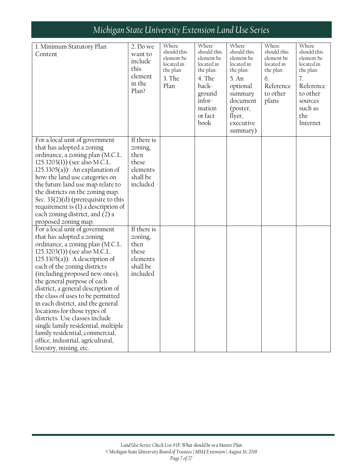| 1. Minimum Statutory Plan<br>Content                                                                                                                                                                                                                                                                                                                                                                                                                                                                                                                                                               | 2. Do we<br>want to<br>include<br>this<br>element<br>in the<br>Plan?        | Where<br>should this<br>element be<br>located in<br>the plan:<br>3. The<br>Plan | Where<br>should this<br>element be<br>located in<br>the plan:<br>4. The<br>back-<br>ground<br>infor-<br>mation<br>or fact<br>book | Where<br>should this<br>element be<br>located in<br>the plan:<br>5. An<br>optional<br>summary<br>document<br>(poster,<br>flyer,<br>executive | Where<br>should this<br>element be<br>located in<br>the plan:<br>6.<br>Reference<br>to other<br>plans | Where<br>should this<br>element be<br>located in<br>the plan:<br>7.<br>Reference<br>to other<br>sources<br>such as<br>the<br>Internet |
|----------------------------------------------------------------------------------------------------------------------------------------------------------------------------------------------------------------------------------------------------------------------------------------------------------------------------------------------------------------------------------------------------------------------------------------------------------------------------------------------------------------------------------------------------------------------------------------------------|-----------------------------------------------------------------------------|---------------------------------------------------------------------------------|-----------------------------------------------------------------------------------------------------------------------------------|----------------------------------------------------------------------------------------------------------------------------------------------|-------------------------------------------------------------------------------------------------------|---------------------------------------------------------------------------------------------------------------------------------------|
|                                                                                                                                                                                                                                                                                                                                                                                                                                                                                                                                                                                                    |                                                                             |                                                                                 |                                                                                                                                   | summary)                                                                                                                                     |                                                                                                       |                                                                                                                                       |
| For a local unit of government<br>that has adopted a zoning<br>ordinance, a zoning plan (M.C.L.<br>125.3203(1)) (see also M.C.L.<br>$125.3305(a)$ : An explanation of<br>how the land use categories on<br>the future land use map relate to<br>the districts on the zoning map.<br>Sec. $33(2)(d)$ (prerequisite to this<br>requirement is $(1)$ a description of<br>each zoning district, and (2) a<br>proposed zoning map.                                                                                                                                                                      | If there is<br>zoning,<br>then<br>these<br>elements<br>shall be<br>included |                                                                                 |                                                                                                                                   |                                                                                                                                              |                                                                                                       |                                                                                                                                       |
| For a local unit of government<br>that has adopted a zoning<br>ordinance, a zoning plan (M.C.L.<br>125.3203(1)) (see also M.C.L.<br>125.3305 $(a)$ ): A description of<br>each of the zoning districts<br>(including proposed new ones),<br>the general purpose of each<br>district, a general description of<br>the class of uses to be permitted<br>in each district, and the general<br>locations for those types of<br>districts. Use classes include<br>single family residential, multiple<br>family residential, commercial,<br>office, industrial, agricultural,<br>forestry, mining, etc. | If there is<br>zoning,<br>then<br>these<br>elements<br>shall be<br>included |                                                                                 |                                                                                                                                   |                                                                                                                                              |                                                                                                       |                                                                                                                                       |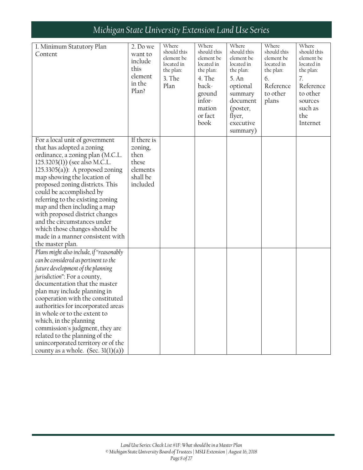| 1. Minimum Statutory Plan<br>Content                                                                                                                                                                                                                                                                                                                                                                                                                                                                             | 2. Do we<br>want to<br>include<br>this<br>element<br>in the<br>Plan?        | Where<br>should this<br>element be<br>located in<br>the plan:<br>3. The<br>Plan | Where<br>should this<br>element be<br>located in<br>the plan:<br>4. The<br>back-<br>ground<br>infor-<br>mation<br>or fact<br>book | Where<br>should this<br>element be<br>located in<br>the plan:<br>5. An<br>optional<br>summary<br>document<br>(poster,<br>flyer,<br>executive<br>summary) | Where<br>should this<br>element be<br>located in<br>the plan:<br>6.<br>Reference<br>to other<br>plans | Where<br>should this<br>element be<br>located in<br>the plan:<br>7.<br>Reference<br>to other<br>sources<br>such as<br>the<br>Internet |
|------------------------------------------------------------------------------------------------------------------------------------------------------------------------------------------------------------------------------------------------------------------------------------------------------------------------------------------------------------------------------------------------------------------------------------------------------------------------------------------------------------------|-----------------------------------------------------------------------------|---------------------------------------------------------------------------------|-----------------------------------------------------------------------------------------------------------------------------------|----------------------------------------------------------------------------------------------------------------------------------------------------------|-------------------------------------------------------------------------------------------------------|---------------------------------------------------------------------------------------------------------------------------------------|
| For a local unit of government<br>that has adopted a zoning<br>ordinance, a zoning plan (M.C.L.<br>125.3203(1)) (see also M.C.L.<br>$125.3305(a)$ : A proposed zoning<br>map showing the location of<br>proposed zoning districts. This<br>could be accomplished by<br>referring to the existing zoning<br>map and then including a map<br>with proposed district changes<br>and the circumstances under<br>which those changes should be<br>made in a manner consistent with<br>the master plan.                | If there is<br>zoning,<br>then<br>these<br>elements<br>shall be<br>included |                                                                                 |                                                                                                                                   |                                                                                                                                                          |                                                                                                       |                                                                                                                                       |
| Plans might also include, if "reasonably<br>can be considered as pertinent to the<br>future development of the planning<br>jurisdiction": For a county,<br>documentation that the master<br>plan may include planning in<br>cooperation with the constituted<br>authorities for incorporated areas<br>in whole or to the extent to<br>which, in the planning<br>commission's judgment, they are<br>related to the planning of the<br>unincorporated territory or of the<br>county as a whole. (Sec. $3l(1)(a)$ ) |                                                                             |                                                                                 |                                                                                                                                   |                                                                                                                                                          |                                                                                                       |                                                                                                                                       |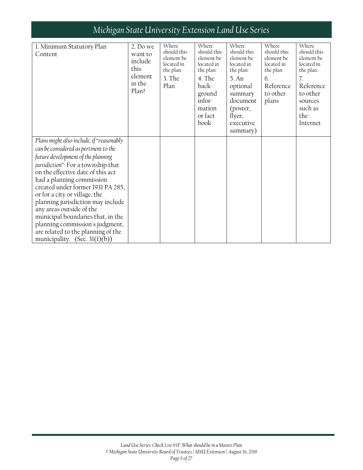| 1. Minimum Statutory Plan<br>Content                                                                                                                                                                                                                                                                                                                                                                                                                                                                                     | 2. Do we<br>want to<br>include<br>this<br>element<br>in the<br>Plan? | Where<br>should this<br>element be<br>located in<br>the plan:<br>3. The<br>Plan | Where<br>should this<br>element be<br>located in<br>the plan:<br>4. The<br>back-<br>ground<br>infor-<br>mation<br>or fact<br>book | Where<br>should this<br>element be<br>located in<br>the plan:<br>5. An<br>optional<br>summary<br>document<br>(poster,<br>flyer,<br>executive<br>summary) | Where<br>should this<br>element be<br>located in<br>the plan:<br>6.<br>Reference<br>to other<br>plans | Where<br>should this<br>element be<br>located in<br>the plan:<br>7.<br>Reference<br>to other<br>sources<br>such as<br>the<br>Internet |
|--------------------------------------------------------------------------------------------------------------------------------------------------------------------------------------------------------------------------------------------------------------------------------------------------------------------------------------------------------------------------------------------------------------------------------------------------------------------------------------------------------------------------|----------------------------------------------------------------------|---------------------------------------------------------------------------------|-----------------------------------------------------------------------------------------------------------------------------------|----------------------------------------------------------------------------------------------------------------------------------------------------------|-------------------------------------------------------------------------------------------------------|---------------------------------------------------------------------------------------------------------------------------------------|
| Plans might also include, if "reasonably<br>can be considered as pertinent to the<br>future development of the planning<br>jurisdiction": For a township that<br>on the effective date of this act<br>had a planning commission<br>created under former 1931 PA 285,<br>or for a city or village, the<br>planning jurisdiction may include<br>any areas outside of the<br>municipal boundaries that, in the<br>planning commission's judgment,<br>are related to the planning of the<br>municipality. (Sec. $3l(1)(b)$ ) |                                                                      |                                                                                 |                                                                                                                                   |                                                                                                                                                          |                                                                                                       |                                                                                                                                       |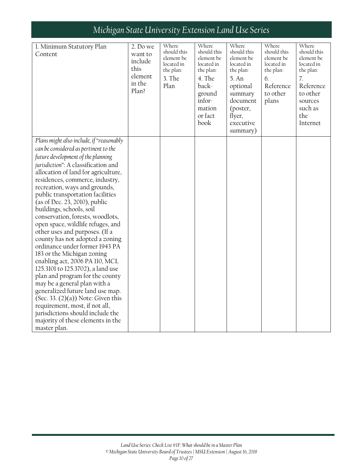| 1. Minimum Statutory Plan<br>Content                                                                                                                                                                                                                                                                                                                                                                                                                                                                                                                                                                                                                                                                                                                                                                                                                                                                                                       | 2. Do we<br>want to<br>include<br>this<br>element<br>in the<br>Plan? | Where<br>should this<br>element be<br>located in<br>the plan:<br>3. The<br>Plan | Where<br>should this<br>element be<br>located in<br>the plan:<br>4. The<br>back-<br>ground<br>infor-<br>mation<br>or fact<br>book | Where<br>should this<br>element be<br>located in<br>the plan:<br>5. An<br>optional<br>summary<br>document<br>(poster,<br>flyer,<br>executive<br>summary) | Where<br>should this<br>element be<br>located in<br>the plan:<br>6.<br>Reference<br>to other<br>plans | Where<br>should this<br>element be<br>located in<br>the plan:<br>$\overline{7}$ .<br>Reference<br>to other<br>sources<br>such as<br>the<br>Internet |
|--------------------------------------------------------------------------------------------------------------------------------------------------------------------------------------------------------------------------------------------------------------------------------------------------------------------------------------------------------------------------------------------------------------------------------------------------------------------------------------------------------------------------------------------------------------------------------------------------------------------------------------------------------------------------------------------------------------------------------------------------------------------------------------------------------------------------------------------------------------------------------------------------------------------------------------------|----------------------------------------------------------------------|---------------------------------------------------------------------------------|-----------------------------------------------------------------------------------------------------------------------------------|----------------------------------------------------------------------------------------------------------------------------------------------------------|-------------------------------------------------------------------------------------------------------|-----------------------------------------------------------------------------------------------------------------------------------------------------|
| Plans might also include, if "reasonably<br>can be considered as pertinent to the<br>future development of the planning<br>jurisdiction": A classification and<br>allocation of land for agriculture,<br>residences, commerce, industry,<br>recreation, ways and grounds,<br>public transportation facilities<br>(as of Dec. 23, 2010), public<br>buildings, schools, soil<br>conservation, forests, woodlots,<br>open space, wildlife refuges, and<br>other uses and purposes. (If a<br>county has not adopted a zoning<br>ordinance under former 1943 PA<br>183 or the Michigan zoning<br>enabling act, 2006 PA 110, MCL<br>125.3101 to 125.3702), a land use<br>plan and program for the county<br>may be a general plan with a<br>generalized future land use map.<br>(Sec. 33. $(2)(a)$ ) Note: Given this<br>requirement, most, if not all,<br>jurisdictions should include the<br>majority of these elements in the<br>master plan. |                                                                      |                                                                                 |                                                                                                                                   |                                                                                                                                                          |                                                                                                       |                                                                                                                                                     |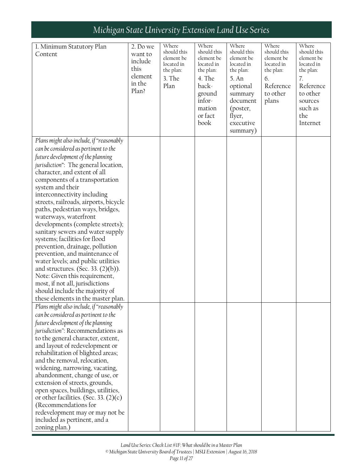| 1. Minimum Statutory Plan                                            | 2. Do we | Where                   | Where                   | Where                   | Where                   | Where                   |
|----------------------------------------------------------------------|----------|-------------------------|-------------------------|-------------------------|-------------------------|-------------------------|
| Content                                                              | want to  | should this             | should this             | should this             | should this             | should this             |
|                                                                      | include  | element be              | element be              | element be              | element be              | element be              |
|                                                                      | this     | located in<br>the plan: | located in<br>the plan: | located in<br>the plan: | located in<br>the plan: | located in<br>the plan: |
|                                                                      | element  | 3. The                  | 4. The                  | 5. An                   | 6.                      | 7.                      |
|                                                                      | in the   | Plan                    | back-                   | optional                | Reference               | Reference               |
|                                                                      | Plan?    |                         | ground                  | summary                 | to other                | to other                |
|                                                                      |          |                         | infor-                  | document                | plans                   | sources                 |
|                                                                      |          |                         | mation                  | (poster,                |                         | such as                 |
|                                                                      |          |                         | or fact                 | flyer,                  |                         | the                     |
|                                                                      |          |                         | book                    | executive               |                         | Internet                |
|                                                                      |          |                         |                         | summary)                |                         |                         |
| Plans might also include, if "reasonably                             |          |                         |                         |                         |                         |                         |
| can be considered as pertinent to the                                |          |                         |                         |                         |                         |                         |
| future development of the planning                                   |          |                         |                         |                         |                         |                         |
| jurisdiction": The general location,                                 |          |                         |                         |                         |                         |                         |
| character, and extent of all                                         |          |                         |                         |                         |                         |                         |
| components of a transportation                                       |          |                         |                         |                         |                         |                         |
| system and their                                                     |          |                         |                         |                         |                         |                         |
| interconnectivity including                                          |          |                         |                         |                         |                         |                         |
| streets, railroads, airports, bicycle                                |          |                         |                         |                         |                         |                         |
| paths, pedestrian ways, bridges,                                     |          |                         |                         |                         |                         |                         |
| waterways, waterfront                                                |          |                         |                         |                         |                         |                         |
| developments (complete streets);                                     |          |                         |                         |                         |                         |                         |
| sanitary sewers and water supply                                     |          |                         |                         |                         |                         |                         |
| systems; facilities for flood                                        |          |                         |                         |                         |                         |                         |
| prevention, drainage, pollution                                      |          |                         |                         |                         |                         |                         |
| prevention, and maintenance of<br>water levels; and public utilities |          |                         |                         |                         |                         |                         |
| and structures. (Sec. 33. $(2)(b)$ ).                                |          |                         |                         |                         |                         |                         |
| Note: Given this requirement,                                        |          |                         |                         |                         |                         |                         |
| most, if not all, jurisdictions                                      |          |                         |                         |                         |                         |                         |
| should include the majority of                                       |          |                         |                         |                         |                         |                         |
| these elements in the master plan.                                   |          |                         |                         |                         |                         |                         |
| Plans might also include, if "reasonably                             |          |                         |                         |                         |                         |                         |
| can be considered as pertinent to the                                |          |                         |                         |                         |                         |                         |
| future development of the planning                                   |          |                         |                         |                         |                         |                         |
| jurisdiction": Recommendations as                                    |          |                         |                         |                         |                         |                         |
| to the general character, extent,                                    |          |                         |                         |                         |                         |                         |
| and layout of redevelopment or                                       |          |                         |                         |                         |                         |                         |
| rehabilitation of blighted areas;                                    |          |                         |                         |                         |                         |                         |
| and the removal, relocation,                                         |          |                         |                         |                         |                         |                         |
| widening, narrowing, vacating,                                       |          |                         |                         |                         |                         |                         |
| abandonment, change of use, or                                       |          |                         |                         |                         |                         |                         |
| extension of streets, grounds,                                       |          |                         |                         |                         |                         |                         |
| open spaces, buildings, utilities,                                   |          |                         |                         |                         |                         |                         |
| or other facilities. (Sec. 33. $(2)(c)$                              |          |                         |                         |                         |                         |                         |
| (Recommendations for                                                 |          |                         |                         |                         |                         |                         |
| redevelopment may or may not be<br>included as pertinent, and a      |          |                         |                         |                         |                         |                         |
| zoning plan.)                                                        |          |                         |                         |                         |                         |                         |
|                                                                      |          |                         |                         |                         |                         |                         |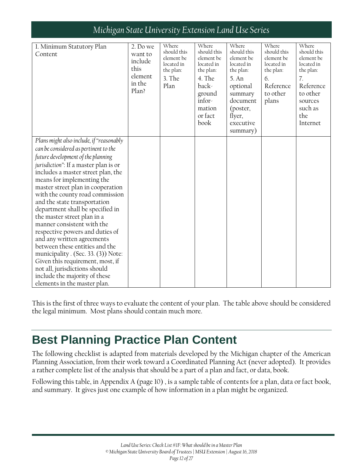| 1. Minimum Statutory Plan<br>Content                                                                                                                                                                                                                                                                                                                                                                                                                                                                                                                                                                                                                                                                                          | 2. Do we<br>want to<br>include<br>this<br>element<br>in the<br>Plan? | Where<br>should this<br>element be<br>located in<br>the plan:<br>3. The<br>Plan | Where<br>should this<br>element be<br>located in<br>the plan:<br>4. The<br>back-<br>ground<br>infor-<br>mation<br>or fact<br>book | Where<br>should this<br>element be<br>located in<br>the plan:<br>5. An<br>optional<br>summary<br>document<br>(poster,<br>flyer,<br>executive<br>summary) | Where<br>should this<br>element be<br>located in<br>the plan:<br>6.<br>Reference<br>to other<br>plans | Where<br>should this<br>element be<br>located in<br>the plan:<br>7.<br>Reference<br>to other<br>sources<br>such as<br>the<br>Internet |
|-------------------------------------------------------------------------------------------------------------------------------------------------------------------------------------------------------------------------------------------------------------------------------------------------------------------------------------------------------------------------------------------------------------------------------------------------------------------------------------------------------------------------------------------------------------------------------------------------------------------------------------------------------------------------------------------------------------------------------|----------------------------------------------------------------------|---------------------------------------------------------------------------------|-----------------------------------------------------------------------------------------------------------------------------------|----------------------------------------------------------------------------------------------------------------------------------------------------------|-------------------------------------------------------------------------------------------------------|---------------------------------------------------------------------------------------------------------------------------------------|
| Plans might also include, if "reasonably<br>can be considered as pertinent to the<br>future development of the planning<br>jurisdiction": If a master plan is or<br>includes a master street plan, the<br>means for implementing the<br>master street plan in cooperation<br>with the county road commission<br>and the state transportation<br>department shall be specified in<br>the master street plan in a<br>manner consistent with the<br>respective powers and duties of<br>and any written agreements<br>between these entities and the<br>municipality . (Sec. 33. (3)) Note:<br>Given this requirement, most, if<br>not all, jurisdictions should<br>include the majority of these<br>elements in the master plan. |                                                                      |                                                                                 |                                                                                                                                   |                                                                                                                                                          |                                                                                                       |                                                                                                                                       |

This is the first of three ways to evaluate the content of your plan. The table above should be considered the legal minimum. Most plans should contain much more.

## <span id="page-11-0"></span>**Best Planning Practice Plan Content**

The following checklist is adapted from materials developed by the Michigan chapter of the American Planning Association, from their work toward a Coordinated Planning Act (never adopted). It provides a rather complete list of the analysis that should be a part of a plan and fact, or data, book.

Following this table, in Appendix A (page 10) , is a sample table of contents for a plan, data or fact book, and summary. It gives just one example of how information in a plan might be organized.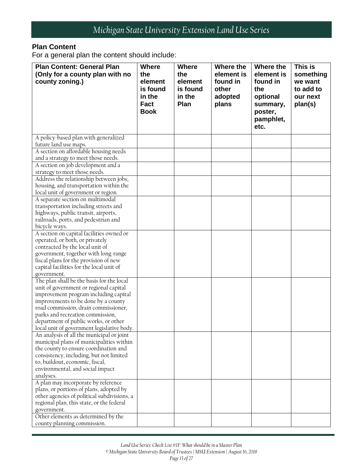#### **Plan Content**

For a general plan the content should include:

| <b>Plan Content: General Plan</b><br>(Only for a county plan with no<br>county zoning.)                                                                                                                                                                                                  | <b>Where</b><br>the<br>element<br>is found<br>in the<br><b>Fact</b><br><b>Book</b> | <b>Where</b><br>the<br>element<br>is found<br>in the<br>Plan | Where the<br>element is<br>found in<br>other<br>adopted<br>plans | Where the<br>element is<br>found in<br>the<br>optional<br>summary,<br>poster,<br>pamphlet,<br>etc. | This is<br>something<br>we want<br>to add to<br>our next<br>plan(s) |
|------------------------------------------------------------------------------------------------------------------------------------------------------------------------------------------------------------------------------------------------------------------------------------------|------------------------------------------------------------------------------------|--------------------------------------------------------------|------------------------------------------------------------------|----------------------------------------------------------------------------------------------------|---------------------------------------------------------------------|
| A policy-based plan with generalized                                                                                                                                                                                                                                                     |                                                                                    |                                                              |                                                                  |                                                                                                    |                                                                     |
| future land use maps.                                                                                                                                                                                                                                                                    |                                                                                    |                                                              |                                                                  |                                                                                                    |                                                                     |
| A section on affordable housing needs                                                                                                                                                                                                                                                    |                                                                                    |                                                              |                                                                  |                                                                                                    |                                                                     |
| and a strategy to meet those needs.                                                                                                                                                                                                                                                      |                                                                                    |                                                              |                                                                  |                                                                                                    |                                                                     |
| A section on job development and a                                                                                                                                                                                                                                                       |                                                                                    |                                                              |                                                                  |                                                                                                    |                                                                     |
| strategy to meet those needs.                                                                                                                                                                                                                                                            |                                                                                    |                                                              |                                                                  |                                                                                                    |                                                                     |
| Address the relationship between jobs,                                                                                                                                                                                                                                                   |                                                                                    |                                                              |                                                                  |                                                                                                    |                                                                     |
| housing, and transportation within the                                                                                                                                                                                                                                                   |                                                                                    |                                                              |                                                                  |                                                                                                    |                                                                     |
| local unit of government or region.                                                                                                                                                                                                                                                      |                                                                                    |                                                              |                                                                  |                                                                                                    |                                                                     |
| A separate section on multimodal                                                                                                                                                                                                                                                         |                                                                                    |                                                              |                                                                  |                                                                                                    |                                                                     |
| transportation including streets and                                                                                                                                                                                                                                                     |                                                                                    |                                                              |                                                                  |                                                                                                    |                                                                     |
| highways, public transit, airports,                                                                                                                                                                                                                                                      |                                                                                    |                                                              |                                                                  |                                                                                                    |                                                                     |
| railroads, ports, and pedestrian and                                                                                                                                                                                                                                                     |                                                                                    |                                                              |                                                                  |                                                                                                    |                                                                     |
| bicycle ways.                                                                                                                                                                                                                                                                            |                                                                                    |                                                              |                                                                  |                                                                                                    |                                                                     |
| A section on capital facilities owned or<br>operated, or both, or privately<br>contracted by the local unit of<br>government, together with long-range<br>fiscal plans for the provision of new<br>capital facilities for the local unit of<br>government.                               |                                                                                    |                                                              |                                                                  |                                                                                                    |                                                                     |
| The plan shall be the basis for the local                                                                                                                                                                                                                                                |                                                                                    |                                                              |                                                                  |                                                                                                    |                                                                     |
| unit of government or regional capital<br>improvement program including capital<br>improvements to be done by a county<br>road commission, drain commissioner,<br>parks and recreation commission,<br>department of public works, or other<br>local unit of government legislative body. |                                                                                    |                                                              |                                                                  |                                                                                                    |                                                                     |
| An analysis of all the municipal or joint                                                                                                                                                                                                                                                |                                                                                    |                                                              |                                                                  |                                                                                                    |                                                                     |
| municipal plans of municipalities within<br>the county to ensure coordination and<br>consistency, including, but not limited<br>to, buildout, economic, fiscal,<br>environmental, and social impact<br>analyses.                                                                         |                                                                                    |                                                              |                                                                  |                                                                                                    |                                                                     |
| A plan may incorporate by reference                                                                                                                                                                                                                                                      |                                                                                    |                                                              |                                                                  |                                                                                                    |                                                                     |
| plans, or portions of plans, adopted by<br>other agencies of political subdivisions, a<br>regional plan, this state, or the federal<br>government.                                                                                                                                       |                                                                                    |                                                              |                                                                  |                                                                                                    |                                                                     |
| Other elements as determined by the                                                                                                                                                                                                                                                      |                                                                                    |                                                              |                                                                  |                                                                                                    |                                                                     |
| county planning commission.                                                                                                                                                                                                                                                              |                                                                                    |                                                              |                                                                  |                                                                                                    |                                                                     |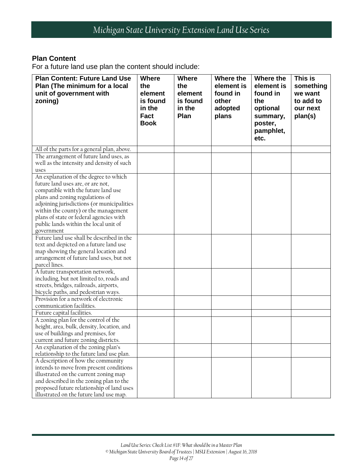#### **Plan Content**

For a future land use plan the content should include:

| <b>Plan Content: Future Land Use</b>                                               | <b>Where</b>               | <b>Where</b>   | Where the  | Where the         | This is   |
|------------------------------------------------------------------------------------|----------------------------|----------------|------------|-------------------|-----------|
| Plan (The minimum for a local                                                      | the                        | the            | element is | element is        | something |
| unit of government with                                                            | element                    | element        | found in   | found in          | we want   |
| zoning)                                                                            | is found                   | is found       | other      | the               | to add to |
|                                                                                    | in the                     | in the<br>Plan | adopted    | optional          | our next  |
|                                                                                    | <b>Fact</b><br><b>Book</b> |                | plans      | summary,          | plan(s)   |
|                                                                                    |                            |                |            | poster,           |           |
|                                                                                    |                            |                |            | pamphlet,<br>etc. |           |
|                                                                                    |                            |                |            |                   |           |
| All of the parts for a general plan, above.                                        |                            |                |            |                   |           |
| The arrangement of future land uses, as                                            |                            |                |            |                   |           |
| well as the intensity and density of such                                          |                            |                |            |                   |           |
| uses<br>An explanation of the degree to which                                      |                            |                |            |                   |           |
| future land uses are, or are not,                                                  |                            |                |            |                   |           |
| compatible with the future land use                                                |                            |                |            |                   |           |
| plans and zoning regulations of                                                    |                            |                |            |                   |           |
| adjoining jurisdictions (or municipalities                                         |                            |                |            |                   |           |
| within the county) or the management                                               |                            |                |            |                   |           |
| plans of state or federal agencies with                                            |                            |                |            |                   |           |
| public lands within the local unit of                                              |                            |                |            |                   |           |
| government                                                                         |                            |                |            |                   |           |
| Future land use shall be described in the                                          |                            |                |            |                   |           |
| text and depicted on a future land use                                             |                            |                |            |                   |           |
| map showing the general location and                                               |                            |                |            |                   |           |
| arrangement of future land uses, but not                                           |                            |                |            |                   |           |
| parcel lines.                                                                      |                            |                |            |                   |           |
| A future transportation network,                                                   |                            |                |            |                   |           |
| including, but not limited to, roads and<br>streets, bridges, railroads, airports, |                            |                |            |                   |           |
| bicycle paths, and pedestrian ways.                                                |                            |                |            |                   |           |
| Provision for a network of electronic                                              |                            |                |            |                   |           |
| communication facilities.                                                          |                            |                |            |                   |           |
| Future capital facilities.                                                         |                            |                |            |                   |           |
| A zoning plan for the control of the                                               |                            |                |            |                   |           |
| height, area, bulk, density, location, and                                         |                            |                |            |                   |           |
| use of buildings and premises, for                                                 |                            |                |            |                   |           |
| current and future zoning districts.                                               |                            |                |            |                   |           |
| An explanation of the zoning plan's                                                |                            |                |            |                   |           |
| relationship to the future land use plan.                                          |                            |                |            |                   |           |
| A description of how the community                                                 |                            |                |            |                   |           |
| intends to move from present conditions                                            |                            |                |            |                   |           |
| illustrated on the current zoning map                                              |                            |                |            |                   |           |
| and described in the zoning plan to the                                            |                            |                |            |                   |           |
| proposed future relationship of land uses                                          |                            |                |            |                   |           |
| illustrated on the future land use map.                                            |                            |                |            |                   |           |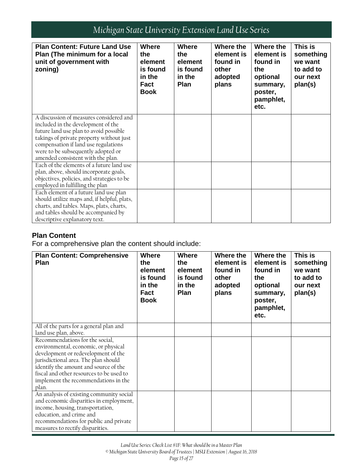| <b>Plan Content: Future Land Use</b><br>Plan (The minimum for a local<br>unit of government with<br>zoning) | <b>Where</b><br>the<br>element<br>is found<br>in the<br>Fact<br><b>Book</b> | <b>Where</b><br>the<br>element<br>is found<br>in the<br>Plan | Where the<br>element is<br>found in<br>other<br>adopted<br>plans | Where the<br>element is<br>found in<br>the<br>optional<br>summary,<br>poster,<br>pamphlet,<br>etc. | This is<br>something<br>we want<br>to add to<br>our next<br>plan(s) |
|-------------------------------------------------------------------------------------------------------------|-----------------------------------------------------------------------------|--------------------------------------------------------------|------------------------------------------------------------------|----------------------------------------------------------------------------------------------------|---------------------------------------------------------------------|
| A discussion of measures considered and<br>included in the development of the                               |                                                                             |                                                              |                                                                  |                                                                                                    |                                                                     |
| future land use plan to avoid possible<br>takings of private property without just                          |                                                                             |                                                              |                                                                  |                                                                                                    |                                                                     |
| compensation if land use regulations                                                                        |                                                                             |                                                              |                                                                  |                                                                                                    |                                                                     |
| were to be subsequently adopted or                                                                          |                                                                             |                                                              |                                                                  |                                                                                                    |                                                                     |
| amended consistent with the plan.                                                                           |                                                                             |                                                              |                                                                  |                                                                                                    |                                                                     |
| Each of the elements of a future land use<br>plan, above, should incorporate goals,                         |                                                                             |                                                              |                                                                  |                                                                                                    |                                                                     |
| objectives, policies, and strategies to be                                                                  |                                                                             |                                                              |                                                                  |                                                                                                    |                                                                     |
| employed in fulfilling the plan                                                                             |                                                                             |                                                              |                                                                  |                                                                                                    |                                                                     |
| Each element of a future land use plan                                                                      |                                                                             |                                                              |                                                                  |                                                                                                    |                                                                     |
| should utilize maps and, if helpful, plats,                                                                 |                                                                             |                                                              |                                                                  |                                                                                                    |                                                                     |
| charts, and tables. Maps, plats, charts,                                                                    |                                                                             |                                                              |                                                                  |                                                                                                    |                                                                     |
| and tables should be accompanied by<br>descriptive explanatory text.                                        |                                                                             |                                                              |                                                                  |                                                                                                    |                                                                     |
|                                                                                                             |                                                                             |                                                              |                                                                  |                                                                                                    |                                                                     |

#### **Plan Content**

For a comprehensive plan the content should include:

| <b>Plan Content: Comprehensive</b><br><b>Plan</b>                                                                                                                                                                                                                                            | <b>Where</b><br>the<br>element<br>is found<br>in the<br><b>Fact</b><br><b>Book</b> | <b>Where</b><br>the<br>element<br>is found<br>in the<br><b>Plan</b> | Where the<br>element is<br>found in<br>other<br>adopted<br>plans | Where the<br>element is<br>found in<br>the<br>optional<br>summary,<br>poster,<br>pamphlet,<br>etc. | This is<br>something<br>we want<br>to add to<br>our next<br>plan(s) |
|----------------------------------------------------------------------------------------------------------------------------------------------------------------------------------------------------------------------------------------------------------------------------------------------|------------------------------------------------------------------------------------|---------------------------------------------------------------------|------------------------------------------------------------------|----------------------------------------------------------------------------------------------------|---------------------------------------------------------------------|
| All of the parts for a general plan and<br>land use plan, above.                                                                                                                                                                                                                             |                                                                                    |                                                                     |                                                                  |                                                                                                    |                                                                     |
| Recommendations for the social,<br>environmental, economic, or physical<br>development or redevelopment of the<br>jurisdictional area. The plan should<br>identify the amount and source of the<br>fiscal and other resources to be used to<br>implement the recommendations in the<br>plan. |                                                                                    |                                                                     |                                                                  |                                                                                                    |                                                                     |
| An analysis of existing community social<br>and economic disparities in employment,<br>income, housing, transportation,<br>education, and crime and<br>recommendations for public and private<br>measures to rectify disparities.                                                            |                                                                                    |                                                                     |                                                                  |                                                                                                    |                                                                     |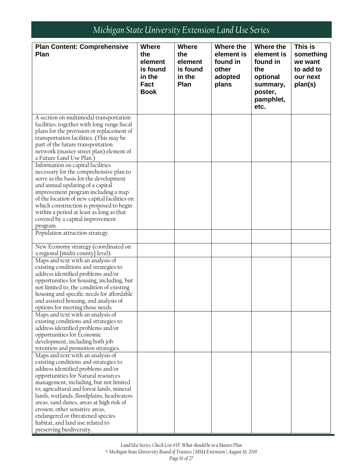| <b>Plan Content: Comprehensive</b><br>Where the<br>Where the<br>This is<br><b>Where</b><br><b>Where</b><br>Plan<br>the<br>element is<br>element is<br>the<br>something<br>found in<br>found in<br>element<br>element<br>we want<br>is found<br>other<br>the<br>to add to<br>is found<br>in the<br>in the<br>adopted<br>optional<br>our next<br><b>Fact</b><br>Plan<br>plans<br>plan(s)<br>summary,<br><b>Book</b><br>poster,<br>pamphlet,<br>etc. |
|---------------------------------------------------------------------------------------------------------------------------------------------------------------------------------------------------------------------------------------------------------------------------------------------------------------------------------------------------------------------------------------------------------------------------------------------------|
|                                                                                                                                                                                                                                                                                                                                                                                                                                                   |
|                                                                                                                                                                                                                                                                                                                                                                                                                                                   |
|                                                                                                                                                                                                                                                                                                                                                                                                                                                   |
|                                                                                                                                                                                                                                                                                                                                                                                                                                                   |
|                                                                                                                                                                                                                                                                                                                                                                                                                                                   |
|                                                                                                                                                                                                                                                                                                                                                                                                                                                   |
|                                                                                                                                                                                                                                                                                                                                                                                                                                                   |
|                                                                                                                                                                                                                                                                                                                                                                                                                                                   |
|                                                                                                                                                                                                                                                                                                                                                                                                                                                   |
| A section on multimodal transportation                                                                                                                                                                                                                                                                                                                                                                                                            |
| facilities, together with long-range fiscal                                                                                                                                                                                                                                                                                                                                                                                                       |
| plans for the provision or replacement of                                                                                                                                                                                                                                                                                                                                                                                                         |
| transportation facilities. (This may be                                                                                                                                                                                                                                                                                                                                                                                                           |
| part of the future transportation                                                                                                                                                                                                                                                                                                                                                                                                                 |
| network (master street plan) element of                                                                                                                                                                                                                                                                                                                                                                                                           |
| a Future Land Use Plan.)                                                                                                                                                                                                                                                                                                                                                                                                                          |
| Information on capital facilities                                                                                                                                                                                                                                                                                                                                                                                                                 |
| necessary for the comprehensive plan to                                                                                                                                                                                                                                                                                                                                                                                                           |
| serve as the basis for the development                                                                                                                                                                                                                                                                                                                                                                                                            |
| and annual updating of a capital                                                                                                                                                                                                                                                                                                                                                                                                                  |
| improvement program including a map                                                                                                                                                                                                                                                                                                                                                                                                               |
| of the location of new capital facilities on                                                                                                                                                                                                                                                                                                                                                                                                      |
| which construction is proposed to begin                                                                                                                                                                                                                                                                                                                                                                                                           |
| within a period at least as long as that                                                                                                                                                                                                                                                                                                                                                                                                          |
| covered by a capital improvement                                                                                                                                                                                                                                                                                                                                                                                                                  |
| program.                                                                                                                                                                                                                                                                                                                                                                                                                                          |
| Population attraction strategy.                                                                                                                                                                                                                                                                                                                                                                                                                   |
| New Economy strategy (coordinated on                                                                                                                                                                                                                                                                                                                                                                                                              |
| a regional [multi-county] level).                                                                                                                                                                                                                                                                                                                                                                                                                 |
| Maps and text with an analysis of                                                                                                                                                                                                                                                                                                                                                                                                                 |
| existing conditions and strategies to                                                                                                                                                                                                                                                                                                                                                                                                             |
| address identified problems and/or                                                                                                                                                                                                                                                                                                                                                                                                                |
| opportunities for housing, including, but                                                                                                                                                                                                                                                                                                                                                                                                         |
| not limited to, the condition of existing                                                                                                                                                                                                                                                                                                                                                                                                         |
| housing and specific needs for affordable                                                                                                                                                                                                                                                                                                                                                                                                         |
| and assisted housing, and analysis of                                                                                                                                                                                                                                                                                                                                                                                                             |
| options for meeting those needs.                                                                                                                                                                                                                                                                                                                                                                                                                  |
| Maps and text with an analysis of                                                                                                                                                                                                                                                                                                                                                                                                                 |
| existing conditions and strategies to                                                                                                                                                                                                                                                                                                                                                                                                             |
| address identified problems and/or                                                                                                                                                                                                                                                                                                                                                                                                                |
| opportunities for Economic                                                                                                                                                                                                                                                                                                                                                                                                                        |
| development, including both job                                                                                                                                                                                                                                                                                                                                                                                                                   |
| retention and promotion strategies.                                                                                                                                                                                                                                                                                                                                                                                                               |
| Maps and text with an analysis of                                                                                                                                                                                                                                                                                                                                                                                                                 |
| existing conditions and strategies to                                                                                                                                                                                                                                                                                                                                                                                                             |
| address identified problems and/or                                                                                                                                                                                                                                                                                                                                                                                                                |
| opportunities for Natural resources                                                                                                                                                                                                                                                                                                                                                                                                               |
| management, including, but not limited                                                                                                                                                                                                                                                                                                                                                                                                            |
| to, agricultural and forest lands, mineral                                                                                                                                                                                                                                                                                                                                                                                                        |
| lands, wetlands, floodplains, headwaters                                                                                                                                                                                                                                                                                                                                                                                                          |
| areas, sand dunes, areas at high risk of                                                                                                                                                                                                                                                                                                                                                                                                          |
| erosion, other sensitive areas,<br>endangered or threatened species                                                                                                                                                                                                                                                                                                                                                                               |
| habitat, and land use related to                                                                                                                                                                                                                                                                                                                                                                                                                  |
| preserving biodiversity.                                                                                                                                                                                                                                                                                                                                                                                                                          |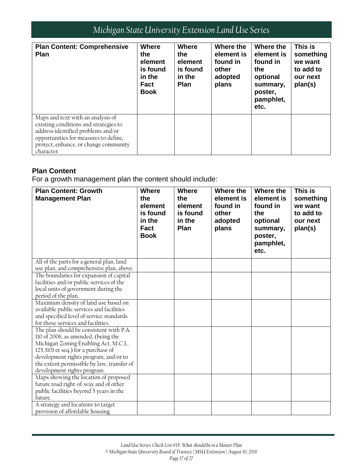| <b>Plan Content: Comprehensive</b><br><b>Plan</b>                                                                                                                                                                | <b>Where</b><br>the<br>element<br>is found<br>in the<br><b>Fact</b><br><b>Book</b> | <b>Where</b><br>the<br>element<br>is found<br>in the<br><b>Plan</b> | Where the<br>element is<br>found in<br>other<br>adopted<br>plans | Where the<br>element is<br>found in<br>the<br>optional<br>summary,<br>poster,<br>pamphlet,<br>etc. | This is<br>something<br>we want<br>to add to<br>our next<br>plan(s) |
|------------------------------------------------------------------------------------------------------------------------------------------------------------------------------------------------------------------|------------------------------------------------------------------------------------|---------------------------------------------------------------------|------------------------------------------------------------------|----------------------------------------------------------------------------------------------------|---------------------------------------------------------------------|
| Maps and text with an analysis of<br>existing conditions and strategies to<br>address identified problems and/or<br>opportunities for measures to define,<br>protect, enhance, or change community<br>character. |                                                                                    |                                                                     |                                                                  |                                                                                                    |                                                                     |

#### **Plan Content**

For a growth management plan the content should include:

| <b>Plan Content: Growth</b><br><b>Management Plan</b>                                                                                                                                                                                                                               | <b>Where</b><br>the<br>element<br>is found<br>in the<br><b>Fact</b><br><b>Book</b> | <b>Where</b><br>the<br>element<br>is found<br>in the<br>Plan | Where the<br>element is<br>found in<br>other<br>adopted<br>plans | Where the<br>element is<br>found in<br>the<br>optional<br>summary,<br>poster,<br>pamphlet,<br>etc. | This is<br>something<br>we want<br>to add to<br>our next<br>plan(s) |
|-------------------------------------------------------------------------------------------------------------------------------------------------------------------------------------------------------------------------------------------------------------------------------------|------------------------------------------------------------------------------------|--------------------------------------------------------------|------------------------------------------------------------------|----------------------------------------------------------------------------------------------------|---------------------------------------------------------------------|
| All of the parts for a general plan, land<br>use plan, and comprehensive plan, above.                                                                                                                                                                                               |                                                                                    |                                                              |                                                                  |                                                                                                    |                                                                     |
| The boundaries for expansion of capital<br>facilities and/or public services of the<br>local units of government during the<br>period of the plan.                                                                                                                                  |                                                                                    |                                                              |                                                                  |                                                                                                    |                                                                     |
| Maximum density of land use based on<br>available public services and facilities<br>and specified level of service standards<br>for those services and facilities.                                                                                                                  |                                                                                    |                                                              |                                                                  |                                                                                                    |                                                                     |
| The plan should be consistent with P.A.<br>110 of 2006, as amended, (being the<br>Michigan Zoning Enabling Act, M.C.L.<br>125.3101 et seq.) for a purchase of<br>development rights program, and/or to<br>the extent permissible by law, transfer of<br>development rights program. |                                                                                    |                                                              |                                                                  |                                                                                                    |                                                                     |
| Maps showing the location of proposed<br>future road right-of-way and of other<br>public facilities beyond 5 years in the<br>future.                                                                                                                                                |                                                                                    |                                                              |                                                                  |                                                                                                    |                                                                     |
| A strategy and locations to target<br>provision of affordable housing.                                                                                                                                                                                                              |                                                                                    |                                                              |                                                                  |                                                                                                    |                                                                     |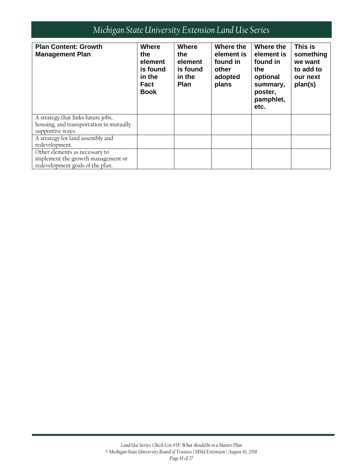| <b>Plan Content: Growth</b><br><b>Management Plan</b>                                                    | <b>Where</b><br>the<br>element<br>is found<br>in the<br>Fact<br><b>Book</b> | Where<br>the<br>element<br>is found<br>in the<br><b>Plan</b> | Where the<br>element is<br>found in<br>other<br>adopted<br>plans | Where the<br>element is<br>found in<br>the<br>optional<br>summary,<br>poster,<br>pamphlet,<br>etc. | This is<br>something<br>we want<br>to add to<br>our next<br>plan(s) |
|----------------------------------------------------------------------------------------------------------|-----------------------------------------------------------------------------|--------------------------------------------------------------|------------------------------------------------------------------|----------------------------------------------------------------------------------------------------|---------------------------------------------------------------------|
| A strategy that links future jobs,<br>housing, and transportation in mutually<br>supportive ways.        |                                                                             |                                                              |                                                                  |                                                                                                    |                                                                     |
| A strategy for land assembly and<br>redevelopment.                                                       |                                                                             |                                                              |                                                                  |                                                                                                    |                                                                     |
| Other elements as necessary to<br>implement the growth management or<br>redevelopment goals of the plan. |                                                                             |                                                              |                                                                  |                                                                                                    |                                                                     |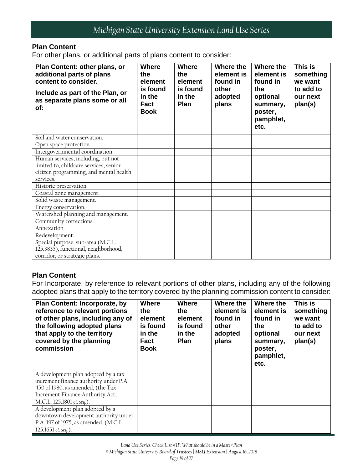#### **Plan Content**

For other plans, or additional parts of plans content to consider:

| Plan Content: other plans, or<br>additional parts of plans<br>content to consider.<br>Include as part of the Plan, or<br>as separate plans some or all<br>of: | <b>Where</b><br>the<br>element<br>is found<br>in the<br>Fact<br><b>Book</b> | <b>Where</b><br>the<br>element<br>is found<br>in the<br>Plan | Where the<br>element is<br>found in<br>other<br>adopted<br>plans | Where the<br>element is<br>found in<br>the<br>optional<br>summary,<br>poster,<br>pamphlet,<br>etc. | This is<br>something<br>we want<br>to add to<br>our next<br>plan(s) |
|---------------------------------------------------------------------------------------------------------------------------------------------------------------|-----------------------------------------------------------------------------|--------------------------------------------------------------|------------------------------------------------------------------|----------------------------------------------------------------------------------------------------|---------------------------------------------------------------------|
| Soil and water conservation.                                                                                                                                  |                                                                             |                                                              |                                                                  |                                                                                                    |                                                                     |
| Open space protection.                                                                                                                                        |                                                                             |                                                              |                                                                  |                                                                                                    |                                                                     |
| Intergovernmental coordination.                                                                                                                               |                                                                             |                                                              |                                                                  |                                                                                                    |                                                                     |
| Human services, including, but not<br>limited to, childcare services, senior<br>citizen programming, and mental health<br>services.                           |                                                                             |                                                              |                                                                  |                                                                                                    |                                                                     |
| Historic preservation.                                                                                                                                        |                                                                             |                                                              |                                                                  |                                                                                                    |                                                                     |
| Coastal zone management.                                                                                                                                      |                                                                             |                                                              |                                                                  |                                                                                                    |                                                                     |
| Solid waste management.                                                                                                                                       |                                                                             |                                                              |                                                                  |                                                                                                    |                                                                     |
| Energy conservation.                                                                                                                                          |                                                                             |                                                              |                                                                  |                                                                                                    |                                                                     |
| Watershed planning and management.                                                                                                                            |                                                                             |                                                              |                                                                  |                                                                                                    |                                                                     |
| Community corrections.                                                                                                                                        |                                                                             |                                                              |                                                                  |                                                                                                    |                                                                     |
| Annexation.                                                                                                                                                   |                                                                             |                                                              |                                                                  |                                                                                                    |                                                                     |
| Redevelopment.                                                                                                                                                |                                                                             |                                                              |                                                                  |                                                                                                    |                                                                     |
| Special purpose, sub-area (M.C.L.<br>125.3835), functional, neighborhood,<br>corridor, or strategic plans.                                                    |                                                                             |                                                              |                                                                  |                                                                                                    |                                                                     |

#### **Plan Content**

For Incorporate, by reference to relevant portions of other plans, including any of the following adopted plans that apply to the territory covered by the planning commission content to consider:

| <b>Plan Content: Incorporate, by</b><br>reference to relevant portions<br>of other plans, including any of<br>the following adopted plans<br>that apply to the territory<br>covered by the planning<br>commission | <b>Where</b><br>the<br>element<br>is found<br>in the<br><b>Fact</b><br><b>Book</b> | <b>Where</b><br>the<br>element<br>is found<br>in the<br><b>Plan</b> | Where the<br>element is<br>found in<br>other<br>adopted<br>plans | Where the<br>element is<br>found in<br>the<br>optional<br>summary,<br>poster,<br>pamphlet,<br>etc. | This is<br>something<br>we want<br>to add to<br>our next<br>plan(s) |
|-------------------------------------------------------------------------------------------------------------------------------------------------------------------------------------------------------------------|------------------------------------------------------------------------------------|---------------------------------------------------------------------|------------------------------------------------------------------|----------------------------------------------------------------------------------------------------|---------------------------------------------------------------------|
| A development plan adopted by a tax<br>increment finance authority under P.A.<br>450 of 1980, as amended, (the Tax<br>Increment Finance Authority Act,<br>M.C.L. 125.1801 et. seq.).                              |                                                                                    |                                                                     |                                                                  |                                                                                                    |                                                                     |
| A development plan adopted by a<br>downtown development authority under<br>P.A. 197 of 1975, as amended, (M.C.L.<br>125.1651 et. seq.).                                                                           |                                                                                    |                                                                     |                                                                  |                                                                                                    |                                                                     |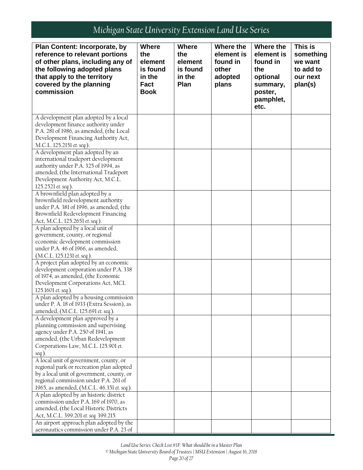| Plan Content: Incorporate, by                                                     | <b>Where</b> | <b>Where</b> | Where the  | Where the  | This is   |
|-----------------------------------------------------------------------------------|--------------|--------------|------------|------------|-----------|
| reference to relevant portions                                                    | the          | the          | element is | element is | something |
| of other plans, including any of                                                  | element      | element      | found in   | found in   | we want   |
| the following adopted plans                                                       | is found     | is found     | other      | the        | to add to |
| that apply to the territory                                                       | in the       | in the       | adopted    | optional   | our next  |
| covered by the planning                                                           | <b>Fact</b>  | Plan         | plans      | summary,   | plan(s)   |
| commission                                                                        | <b>Book</b>  |              |            | poster,    |           |
|                                                                                   |              |              |            | pamphlet,  |           |
|                                                                                   |              |              |            | etc.       |           |
|                                                                                   |              |              |            |            |           |
| A development plan adopted by a local                                             |              |              |            |            |           |
| development finance authority under                                               |              |              |            |            |           |
| P.A. 281 of 1986, as amended, (the Local                                          |              |              |            |            |           |
| Development Financing Authority Act,                                              |              |              |            |            |           |
| M.C.L. 125.2151 et. seq.).                                                        |              |              |            |            |           |
| A development plan adopted by an                                                  |              |              |            |            |           |
| international tradeport development                                               |              |              |            |            |           |
| authority under P.A. 325 of 1994, as                                              |              |              |            |            |           |
| amended, (the International Tradeport<br>Development Authority Act, M.C.L.        |              |              |            |            |           |
| 125.2521 et. seq.).                                                               |              |              |            |            |           |
| A brownfield plan adopted by a                                                    |              |              |            |            |           |
| brownfield redevelopment authority                                                |              |              |            |            |           |
| under P.A. 381 of 1996, as amended, (the                                          |              |              |            |            |           |
| Brownfield Redevelopment Financing                                                |              |              |            |            |           |
| Act, M.C.L. 125.2651 et. seq.).                                                   |              |              |            |            |           |
| A plan adopted by a local unit of                                                 |              |              |            |            |           |
| government, county, or regional                                                   |              |              |            |            |           |
| economic development commission                                                   |              |              |            |            |           |
| under P.A. 46 of 1966, as amended,                                                |              |              |            |            |           |
| (M.C.L. 125.1231 et. seq.).                                                       |              |              |            |            |           |
| A project plan adopted by an economic                                             |              |              |            |            |           |
| development corporation under P.A. 338                                            |              |              |            |            |           |
| of 1974, as amended, (the Economic                                                |              |              |            |            |           |
| Development Corporations Act, MCL                                                 |              |              |            |            |           |
| 125.1601 et. seq.).                                                               |              |              |            |            |           |
| A plan adopted by a housing commission                                            |              |              |            |            |           |
| under P. A. 18 of 1933 (Extra Session), as<br>amended, (M.C.L. 125.691 et. seq.). |              |              |            |            |           |
| A development plan approved by a                                                  |              |              |            |            |           |
| planning commission and supervising                                               |              |              |            |            |           |
| agency under P.A. 250 of 1941, as                                                 |              |              |            |            |           |
| amended, (the Urban Redevelopment                                                 |              |              |            |            |           |
| Corporations Law, M.C.L. 125.901 et.                                              |              |              |            |            |           |
| seq.).                                                                            |              |              |            |            |           |
| A local unit of government, county, or                                            |              |              |            |            |           |
| regional park or recreation plan adopted                                          |              |              |            |            |           |
| by a local unit of government, county, or                                         |              |              |            |            |           |
| regional commission under P.A. 261 of                                             |              |              |            |            |           |
| 1965, as amended, (M.C.L. 46.351 et. seq.).                                       |              |              |            |            |           |
| A plan adopted by an historic district                                            |              |              |            |            |           |
| commission under P.A. 169 of 1970, as                                             |              |              |            |            |           |
| amended, (the Local Historic Districts                                            |              |              |            |            |           |
| Act, M.C.L. 399.201 et. seq. 399.215.                                             |              |              |            |            |           |
| An airport approach plan adopted by the                                           |              |              |            |            |           |
| aeronautics commission under P.A. 23 of                                           |              |              |            |            |           |

*Land Use Series: Check List #1F: What should be in a Master Plan*

*© Michigan State University Board of Trustees | MSU Extension | August 16, 2018*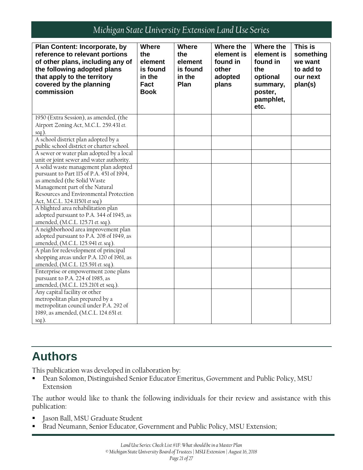| <b>Plan Content: Incorporate, by</b><br>reference to relevant portions<br>of other plans, including any of<br>the following adopted plans<br>that apply to the territory<br>covered by the planning<br>commission | <b>Where</b><br>the<br>element<br>is found<br>in the<br><b>Fact</b><br><b>Book</b> | <b>Where</b><br>the<br>element<br>is found<br>in the<br>Plan | Where the<br>element is<br>found in<br>other<br>adopted<br>plans | Where the<br>element is<br>found in<br>the<br>optional<br>summary,<br>poster,<br>pamphlet,<br>etc. | This is<br>something<br>we want<br>to add to<br>our next<br>plan(s) |
|-------------------------------------------------------------------------------------------------------------------------------------------------------------------------------------------------------------------|------------------------------------------------------------------------------------|--------------------------------------------------------------|------------------------------------------------------------------|----------------------------------------------------------------------------------------------------|---------------------------------------------------------------------|
| 1950 (Extra Session), as amended, (the<br>Airport Zoning Act, M.C.L. 259.431 et.                                                                                                                                  |                                                                                    |                                                              |                                                                  |                                                                                                    |                                                                     |
| seq.).                                                                                                                                                                                                            |                                                                                    |                                                              |                                                                  |                                                                                                    |                                                                     |
| A school district plan adopted by a<br>public school district or charter school.                                                                                                                                  |                                                                                    |                                                              |                                                                  |                                                                                                    |                                                                     |
| A sewer or water plan adopted by a local<br>unit or joint sewer and water authority.                                                                                                                              |                                                                                    |                                                              |                                                                  |                                                                                                    |                                                                     |
| A solid waste management plan adopted<br>pursuant to Part 115 of P.A. 451 of 1994,                                                                                                                                |                                                                                    |                                                              |                                                                  |                                                                                                    |                                                                     |
| as amended (the Solid Waste                                                                                                                                                                                       |                                                                                    |                                                              |                                                                  |                                                                                                    |                                                                     |
| Management part of the Natural                                                                                                                                                                                    |                                                                                    |                                                              |                                                                  |                                                                                                    |                                                                     |
| Resources and Environmental Protection                                                                                                                                                                            |                                                                                    |                                                              |                                                                  |                                                                                                    |                                                                     |
| Act, M.C.L. 324.11501 et seq.)<br>A blighted area rehabilitation plan                                                                                                                                             |                                                                                    |                                                              |                                                                  |                                                                                                    |                                                                     |
| adopted pursuant to P.A. 344 of 1945, as                                                                                                                                                                          |                                                                                    |                                                              |                                                                  |                                                                                                    |                                                                     |
| amended, (M.C.L. 125.71 et. seq.).                                                                                                                                                                                |                                                                                    |                                                              |                                                                  |                                                                                                    |                                                                     |
| A neighborhood area improvement plan                                                                                                                                                                              |                                                                                    |                                                              |                                                                  |                                                                                                    |                                                                     |
| adopted pursuant to P.A. 208 of 1949, as                                                                                                                                                                          |                                                                                    |                                                              |                                                                  |                                                                                                    |                                                                     |
| amended, (M.C.L. 125.941 et. seq.).                                                                                                                                                                               |                                                                                    |                                                              |                                                                  |                                                                                                    |                                                                     |
| A plan for redevelopment of principal                                                                                                                                                                             |                                                                                    |                                                              |                                                                  |                                                                                                    |                                                                     |
| shopping areas under P.A. 120 of 1961, as                                                                                                                                                                         |                                                                                    |                                                              |                                                                  |                                                                                                    |                                                                     |
| amended, (M.C.L. 125.591 et. seq.).                                                                                                                                                                               |                                                                                    |                                                              |                                                                  |                                                                                                    |                                                                     |
| Enterprise or empowerment zone plans<br>pursuant to P.A. 224 of 1985, as                                                                                                                                          |                                                                                    |                                                              |                                                                  |                                                                                                    |                                                                     |
| amended, (M.C.L. 125.2101 et seq.).                                                                                                                                                                               |                                                                                    |                                                              |                                                                  |                                                                                                    |                                                                     |
| Any capital facility or other                                                                                                                                                                                     |                                                                                    |                                                              |                                                                  |                                                                                                    |                                                                     |
| metropolitan plan prepared by a                                                                                                                                                                                   |                                                                                    |                                                              |                                                                  |                                                                                                    |                                                                     |
| metropolitan council under P.A. 292 of                                                                                                                                                                            |                                                                                    |                                                              |                                                                  |                                                                                                    |                                                                     |
| 1989, as amended, (M.C.L. 124.651 et.                                                                                                                                                                             |                                                                                    |                                                              |                                                                  |                                                                                                    |                                                                     |
| seq.).                                                                                                                                                                                                            |                                                                                    |                                                              |                                                                  |                                                                                                    |                                                                     |

# <span id="page-20-0"></span>**Authors**

This publication was developed in collaboration by:

 Dean Solomon, Distinguished Senior Educator Emeritus, Government and Public Policy, MSU Extension

The author would like to thank the following individuals for their review and assistance with this publication:

- Jason Ball, MSU Graduate Student
- Brad Neumann, Senior Educator, Government and Public Policy, MSU Extension;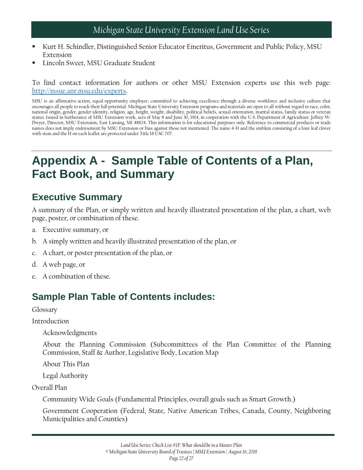- Kurt H. Schindler, Distinguished Senior Educator Emeritus, Government and Public Policy, MSU Extension
- Lincoln Sweet, MSU Graduate Student

To find contact information for authors or other MSU Extension experts use this web page: [http://msue.anr.msu.edu/experts.](http://msue.anr.msu.edu/experts)

MSU is an affirmative-action, equal-opportunity employer, committed to achieving excellence through a diverse workforce and inclusive culture that encourages all people to reach their full potential. Michigan State University Extension programs and materials are open to all without regard to race, color, national origin, gender, gender identity, religion, age, height, weight, disability, political beliefs, sexual orientation, marital status, family status or veteran status. Issued in furtherance of MSU Extension work, acts of May 8 and June 30, 1914, in cooperation with the U.S. Department of Agriculture. Jeffrey W. Dwyer, Director, MSU Extension, East Lansing, MI 48824. This information is for educational purposes only. Reference to commercial products or trade names does not imply endorsement by MSU Extension or bias against those not mentioned. The name 4-H and the emblem consisting of a four-leaf clover with stem and the H on each leaflet are protected under Title 18 USC 707.

## <span id="page-21-0"></span>**Appendix A - Sample Table of Contents of a Plan, Fact Book, and Summary**

### **Executive Summary**

A summary of the Plan, or simply written and heavily illustrated presentation of the plan, a chart, web page, poster, or combination of these.

- a. Executive summary, or
- b. A simply written and heavily illustrated presentation of the plan, or
- c. A chart, or poster presentation of the plan, or
- d. A web page, or
- e. A combination of these.

### **Sample Plan Table of Contents includes:**

Glossary

Introduction

Acknowledgments

About the Planning Commission (Subcommittees of the Plan Committee of the Planning Commission, Staff & Author, Legislative Body, Location Map

About This Plan

Legal Authority

Overall Plan

Community Wide Goals (Fundamental Principles, overall goals such as Smart Growth.)

Government Cooperation (Federal, State, Native American Tribes, Canada, County, Neighboring Municipalities and Counties)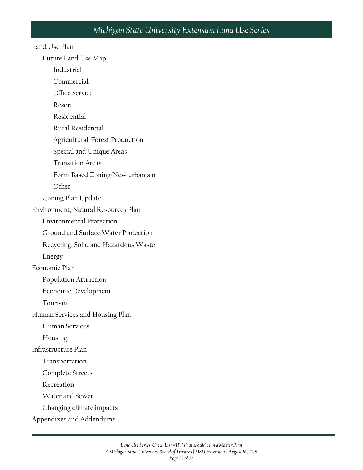#### Land Use Plan

Future Land Use Map

Industrial

Commercial

Office Service

Resort

Residential

Rural Residential

Agricultural-Forest Production

Special and Unique Areas

Transition Areas

Form-Based Zoning/New urbanism

**Other** 

Zoning Plan Update

Environment, Natural Resources Plan

Environmental Protection

Ground and Surface Water Protection

Recycling, Solid and Hazardous Waste

Energy

Economic Plan

Population Attraction

Economic Development

Tourism

Human Services and Housing Plan

Human Services

Housing

Infrastructure Plan

Transportation

Complete Streets

Recreation

Water and Sewer

Changing climate impacts

Appendixes and Addendums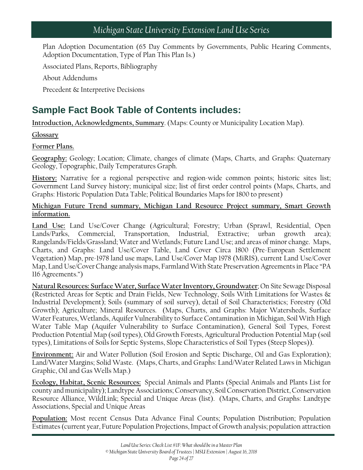Plan Adoption Documentation (65 Day Comments by Governments, Public Hearing Comments, Adoption Documentation, Type of Plan This Plan Is.)

Associated Plans, Reports, Bibliography

About Addendums

Precedent & Interpretive Decisions

### **Sample Fact Book Table of Contents includes:**

**Introduction, Acknowledgments, Summary**. (Maps: County or Municipality Location Map).

#### **Glossary**

#### **Former Plans.**

**Geography:** Geology; Location; Climate, changes of climate (Maps, Charts, and Graphs: Quaternary Geology, Topographic, Daily Temperatures Graph.

**History:** Narrative for a regional perspective and region-wide common points; historic sites list; Government Land Survey history; municipal size; list of first order control points (Maps, Charts, and Graphs: Historic Population Data Table; Political Boundaries Maps for 1800 to present)

#### **Michigan Future Trend summary, Michigan Land Resource Project summary, Smart Growth information.**

**Land Use:** Land Use/Cover Change (Agricultural; Forestry; Urban (Sprawl, Residential, Open Lands/Parks, Commercial, Transportation, Industrial, Extractive; urban growth area); Rangelands/Fields/Grassland; Water and Wetlands; Future Land Use; and areas of minor change. Maps, Charts, and Graphs: Land Use/Cover Table, Land Cover Circa 1800 (Pre-European Settlement Vegetation) Map, pre-1978 land use maps, Land Use/Cover Map 1978 (MiRIS), current Land Use/Cover Map, Land Use/Cover Change analysis maps, Farmland With State Preservation Agreements in Place "PA 116 Agreements.")

**Natural Resources: Surface Water, Surface Water Inventory, Groundwater**; On Site Sewage Disposal (Restricted Areas for Septic and Drain Fields, New Technology, Soils With Limitations for Wastes & Industrial Development); Soils (summary of soil survey), detail of Soil Characteristics; Forestry (Old Growth); Agriculture; Mineral Resources. (Maps, Charts, and Graphs: Major Watersheds, Surface Water Features, Wetlands, Aquifer Vulnerability to Surface Contamination in Michigan, Soil With High Water Table Map (Aquifer Vulnerability to Surface Contamination), General Soil Types, Forest Production Potential Map (soil types), Old Growth Forests, Agricultural Production Potential Map (soil types), Limitations of Soils for Septic Systems, Slope Characteristics of Soil Types (Steep Slopes)).

**Environment:** Air and Water Pollution (Soil Erosion and Septic Discharge, Oil and Gas Exploration); Land/Water Margins; Solid Waste. (Maps, Charts, and Graphs: Land/Water Related Laws in Michigan Graphic, Oil and Gas Wells Map.)

**Ecology, Habitat, Scenic Resources:** Special Animals and Plants (Special Animals and Plants List for county and municipality); Landtype Associations; Conservancy, Soil Conservation District, Conservation Resource Alliance, WildLink; Special and Unique Areas (list). (Maps, Charts, and Graphs: Landtype Associations, Special and Unique Areas

**Population:** Most recent Census Data Advance Final Counts; Population Distribution; Population Estimates (current year, Future Population Projections, Impact of Growth analysis; population attraction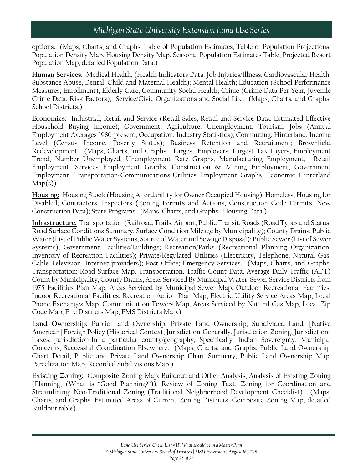options. (Maps, Charts, and Graphs: Table of Population Estimates, Table of Population Projections, Population Density Map, Housing Density Map, Seasonal Population Estimates Table, Projected Resort Population Map, detailed Population Data.)

**Human Services:** Medical Health, (Health Indicators Data: Job Injuries/Illness, Cardiovascular Health, Substance Abuse, Dental, Child and Maternal Health); Mental Health; Education (School Performance Measures, Enrollment); Elderly Care; Community Social Health; Crime (Crime Data Per Year, Juvenile Crime Data, Risk Factors); Service/Civic Organizations and Social Life. (Maps, Charts, and Graphs: School Districts.)

**Economics:** Industrial; Retail and Service (Retail Sales, Retail and Service Data, Estimated Effective Household Buying Income); Government; Agriculture; Unemployment; Tourism; Jobs (Annual Employment Averages 1980-present, Occupation, Industry Statistics); Commuting; Hinterland; Income Level (Census Income, Poverty Status); Business Retention and Recruitment; Brownfield Redevelopment. (Maps, Charts, and Graphs: Largest Employers; Largest Tax Payers, Employment Trend, Number Unemployed, Unemployment Rate Graphs, Manufacturing Employment, Retail Employment, Services Employment Graphs, Construction & Mining Employment, Government Employment, Transportation-Communications-Utilities Employment Graphs, Economic Hinterland Map(s))

**Housing:** Housing Stock (Housing Affordability for Owner Occupied Housing); Homeless; Housing for Disabled; Contractors, Inspectors (Zoning Permits and Actions, Construction Code Permits, New Construction Data); State Programs. (Maps, Charts, and Graphs: Housing Data.)

**Infrastructure:** Transportation (Railroad, Trails, Airport, Public Transit, Roads (Road Types and Status, Road Surface Conditions Summary, Surface Condition Mileage by Municipality); County Drains; Public Water (List of Public Water Systems, Source of Water and Sewage Disposal); Public Sewer (List of Sewer Systems); Government Facilities/Buildings; Recreation/Parks (Recreational Planning Organization, Inventory of Recreation Facilities); Private/Regulated Utilities (Electricity, Telephone, Natural Gas, Cable Television, Internet providers); Post Office; Emergency Services. (Maps, Charts, and Graphs: Transportation: Road Surface Map, Transportation, Traffic Count Data, Average Daily Traffic (ADT) Count by Municipality, County Drains, Areas Serviced By Municipal Water, Sewer Service Districts from 1975 Facilities Plan Map, Areas Serviced by Municipal Sewer Map, Outdoor Recreational Facilities, Indoor Recreational Facilities, Recreation Action Plan Map, Electric Utility Service Areas Map, Local Phone Exchanges Map, Communication Towers Map, Areas Serviced by Natural Gas Map, Local Zip Code Map, Fire Districts Map, EMS Districts Map.)

**Land Ownership:** Public Land Ownership; Private Land Ownership; Subdivided Land; [Native American] Foreign Policy (Historical Context, Jurisdiction-Generally, Jurisdiction-Zoning, Jurisdiction-Taxes, Jurisdiction-In a particular county/geography; Specifically, Indian Sovereignty, Municipal Concerns, Successful Coordination Elsewhere. (Maps, Charts, and Graphs, Public Land Ownership Chart Detail, Public and Private Land Ownership Chart Summary, Public Land Ownership Map, Parcelization Map, Recorded Subdivisions Map.)

**Existing Zoning:** Composite Zoning Map; Buildout and Other Analysis; Analysis of Existing Zoning (Planning, (What is "Good Planning?")), Review of Zoning Text, Zoning for Coordination and Streamlining; Neo-Traditional Zoning (Traditional Neighborhood Development Checklist). (Maps, Charts, and Graphs: Estimated Areas of Current Zoning Districts, Composite Zoning Map, detailed Buildout table).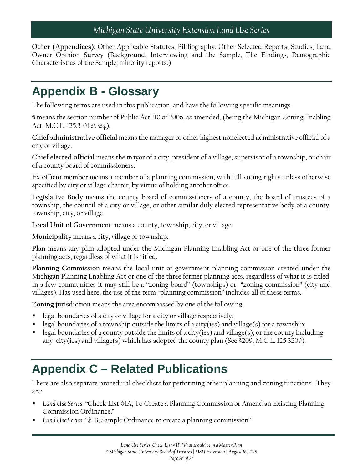**Other (Appendices):** Other Applicable Statutes; Bibliography; Other Selected Reports, Studies; Land Owner Opinion Survey (Background, Interviewing and the Sample, The Findings, Demographic Characteristics of the Sample; minority reports.)

## <span id="page-25-0"></span>**Appendix B - Glossary**

The following terms are used in this publication, and have the following specific meanings.

**§** means the section number of Public Act 110 of 2006, as amended, (being the Michigan Zoning Enabling Act, M.C.L. 125.3101 *et. seq.*),

**Chief administrative official** means the manager or other highest nonelected administrative official of a city or village.

**Chief elected official** means the mayor of a city, president of a village, supervisor of a township, or chair of a county board of commissioners.

**Ex officio member** means a member of a planning commission, with full voting rights unless otherwise specified by city or village charter, by virtue of holding another office.

**Legislative Body** means the county board of commissioners of a county, the board of trustees of a township, the council of a city or village, or other similar duly elected representative body of a county, township, city, or village.

**Local Unit of Government** means a county, township, city, or village.

**Municipality** means a city, village or township.

**Plan** means any plan adopted under the Michigan Planning Enabling Act or one of the three former planning acts, regardless of what it is titled.

**Planning Commission** means the local unit of government planning commission created under the Michigan Planning Enabling Act or one of the three former planning acts, regardless of what it is titled. In a few communities it may still be a "zoning board" (townships) or "zoning commission" (city and villages). Has used here, the use of the term "planning commission" includes all of these terms.

**Zoning jurisdiction** means the area encompassed by one of the following:

- legal boundaries of a city or village for a city or village respectively;
- legal boundaries of a township outside the limits of a city(ies) and village(s) for a township;
- legal boundaries of a county outside the limits of a city(ies) and village(s); or the county including any city(ies) and village(s) which has adopted the county plan (See §209, M.C.L. 125.3209).

## <span id="page-25-1"></span>**Appendix C – Related Publications**

There are also separate procedural checklists for performing other planning and zoning functions. They are:

- *Land Use Series*: "Check List #1A; To Create a Planning Commission or Amend an Existing Planning Commission Ordinance."
- *Land Use Series*: "#1B; Sample Ordinance to create a planning commission"